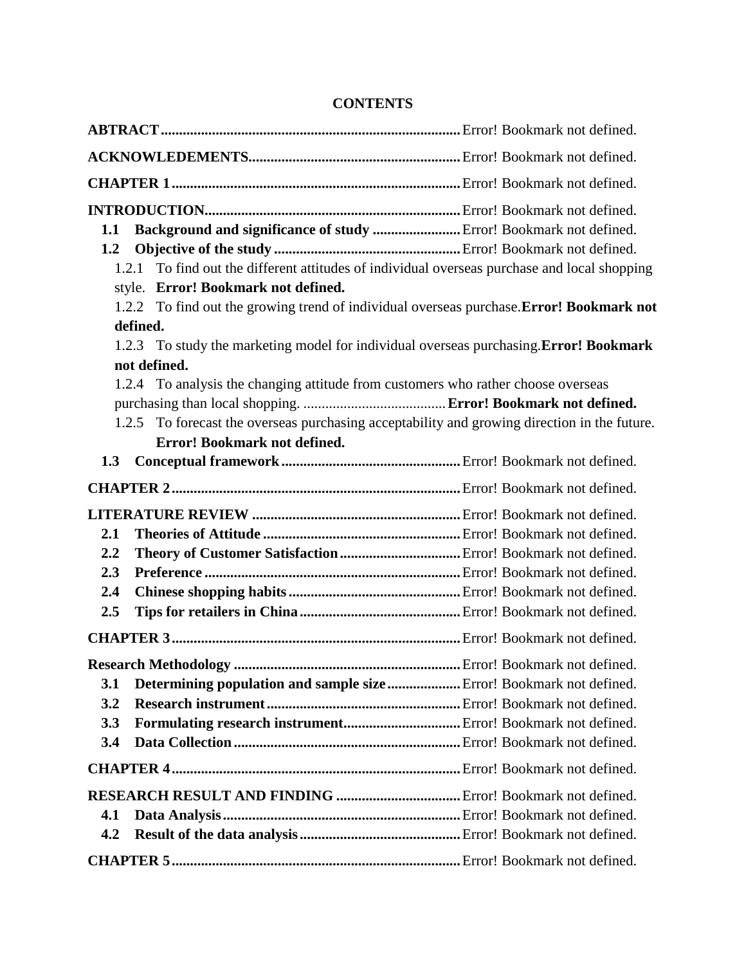## **CONTENTS**

| Background and significance of study  Error! Bookmark not defined.<br>1.1                    |                                                                                          |                                                                                        |  |
|----------------------------------------------------------------------------------------------|------------------------------------------------------------------------------------------|----------------------------------------------------------------------------------------|--|
| 1.2                                                                                          |                                                                                          |                                                                                        |  |
|                                                                                              | 1.2.1                                                                                    | To find out the different attitudes of individual overseas purchase and local shopping |  |
|                                                                                              | style. Error! Bookmark not defined.                                                      |                                                                                        |  |
|                                                                                              | 1.2.2 To find out the growing trend of individual overseas purchase. Error! Bookmark not |                                                                                        |  |
| defined.                                                                                     |                                                                                          |                                                                                        |  |
|                                                                                              | 1.2.3 To study the marketing model for individual overseas purchasing. Error! Bookmark   |                                                                                        |  |
| not defined.                                                                                 |                                                                                          |                                                                                        |  |
|                                                                                              | 1.2.4 To analysis the changing attitude from customers who rather choose overseas        |                                                                                        |  |
|                                                                                              |                                                                                          |                                                                                        |  |
| 1.2.5 To forecast the overseas purchasing acceptability and growing direction in the future. |                                                                                          |                                                                                        |  |
|                                                                                              | Error! Bookmark not defined.                                                             |                                                                                        |  |
| 1.3                                                                                          |                                                                                          |                                                                                        |  |
|                                                                                              |                                                                                          |                                                                                        |  |
|                                                                                              |                                                                                          |                                                                                        |  |
| 2.1                                                                                          |                                                                                          |                                                                                        |  |
| 2.2                                                                                          |                                                                                          |                                                                                        |  |
| 2.3                                                                                          |                                                                                          |                                                                                        |  |
| 2.4                                                                                          |                                                                                          |                                                                                        |  |
| 2.5                                                                                          |                                                                                          |                                                                                        |  |
|                                                                                              |                                                                                          |                                                                                        |  |
|                                                                                              |                                                                                          |                                                                                        |  |
| 3.1                                                                                          | Determining population and sample size  Error! Bookmark not defined.                     |                                                                                        |  |
| 3.2                                                                                          |                                                                                          |                                                                                        |  |
| 3.3                                                                                          | Formulating research instrument Error! Bookmark not defined.                             |                                                                                        |  |
| 3.4                                                                                          |                                                                                          |                                                                                        |  |
|                                                                                              |                                                                                          |                                                                                        |  |
|                                                                                              |                                                                                          |                                                                                        |  |
| 4.1                                                                                          |                                                                                          |                                                                                        |  |
| 4.2                                                                                          |                                                                                          |                                                                                        |  |
|                                                                                              |                                                                                          |                                                                                        |  |